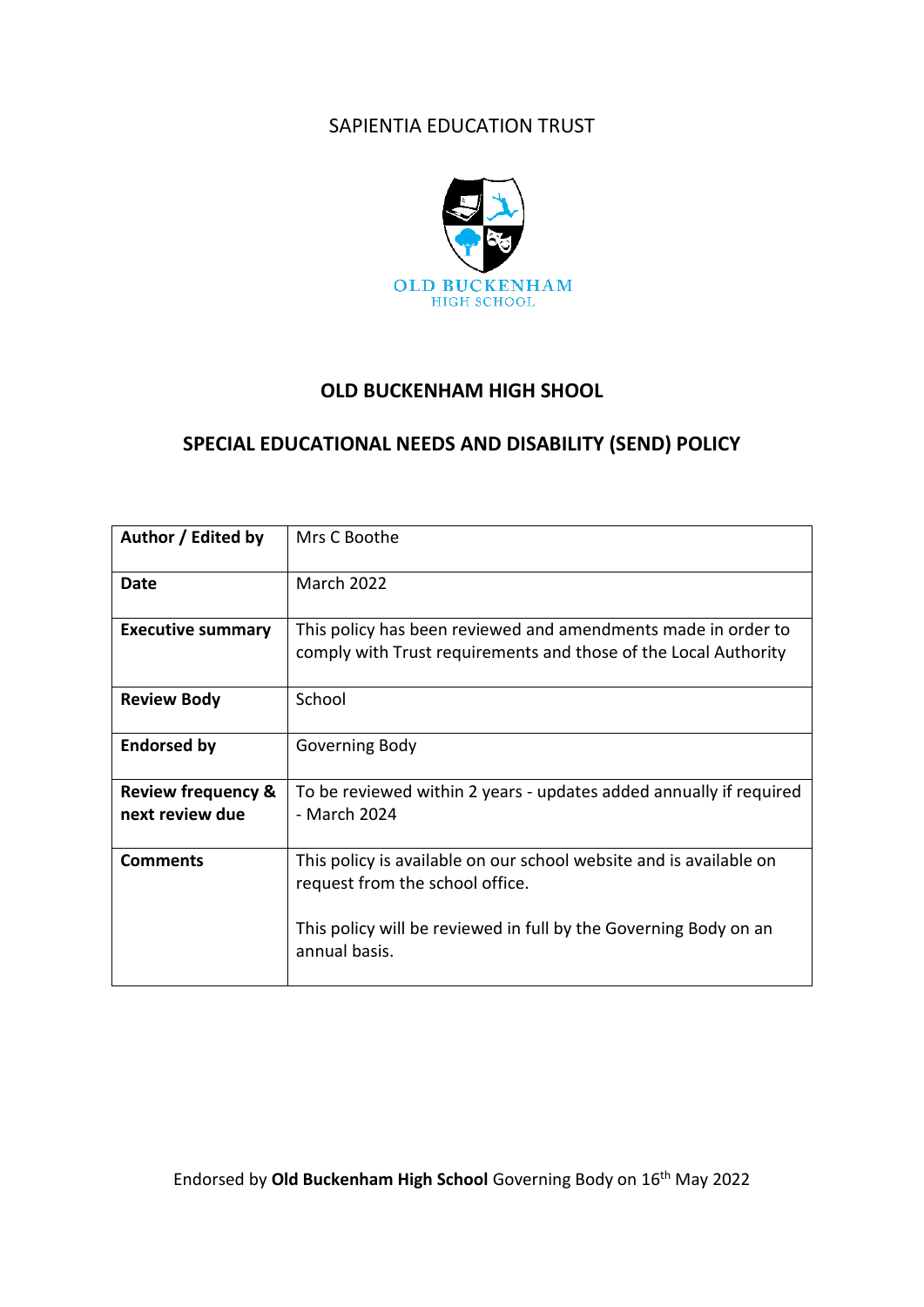# SAPIENTIA EDUCATION TRUST



# **OLD BUCKENHAM HIGH SHOOL**

# **SPECIAL EDUCATIONAL NEEDS AND DISABILITY (SEND) POLICY**

| Author / Edited by                               | Mrs C Boothe                                                                                                                     |
|--------------------------------------------------|----------------------------------------------------------------------------------------------------------------------------------|
| Date                                             | <b>March 2022</b>                                                                                                                |
| <b>Executive summary</b>                         | This policy has been reviewed and amendments made in order to<br>comply with Trust requirements and those of the Local Authority |
| <b>Review Body</b>                               | School                                                                                                                           |
| <b>Endorsed by</b>                               | Governing Body                                                                                                                   |
| <b>Review frequency &amp;</b><br>next review due | To be reviewed within 2 years - updates added annually if required<br>- March 2024                                               |
| <b>Comments</b>                                  | This policy is available on our school website and is available on<br>request from the school office.                            |
|                                                  | This policy will be reviewed in full by the Governing Body on an<br>annual basis.                                                |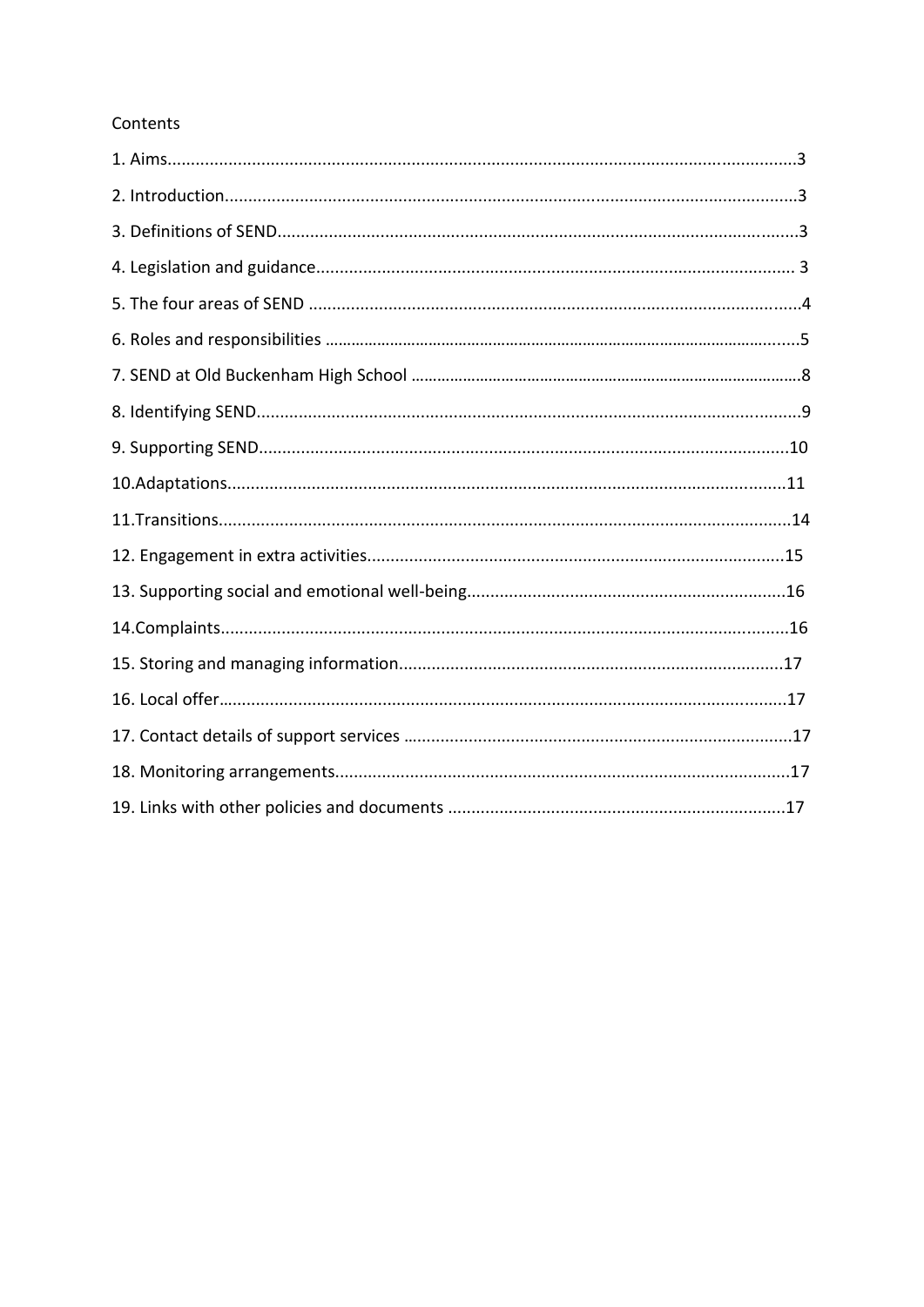## Contents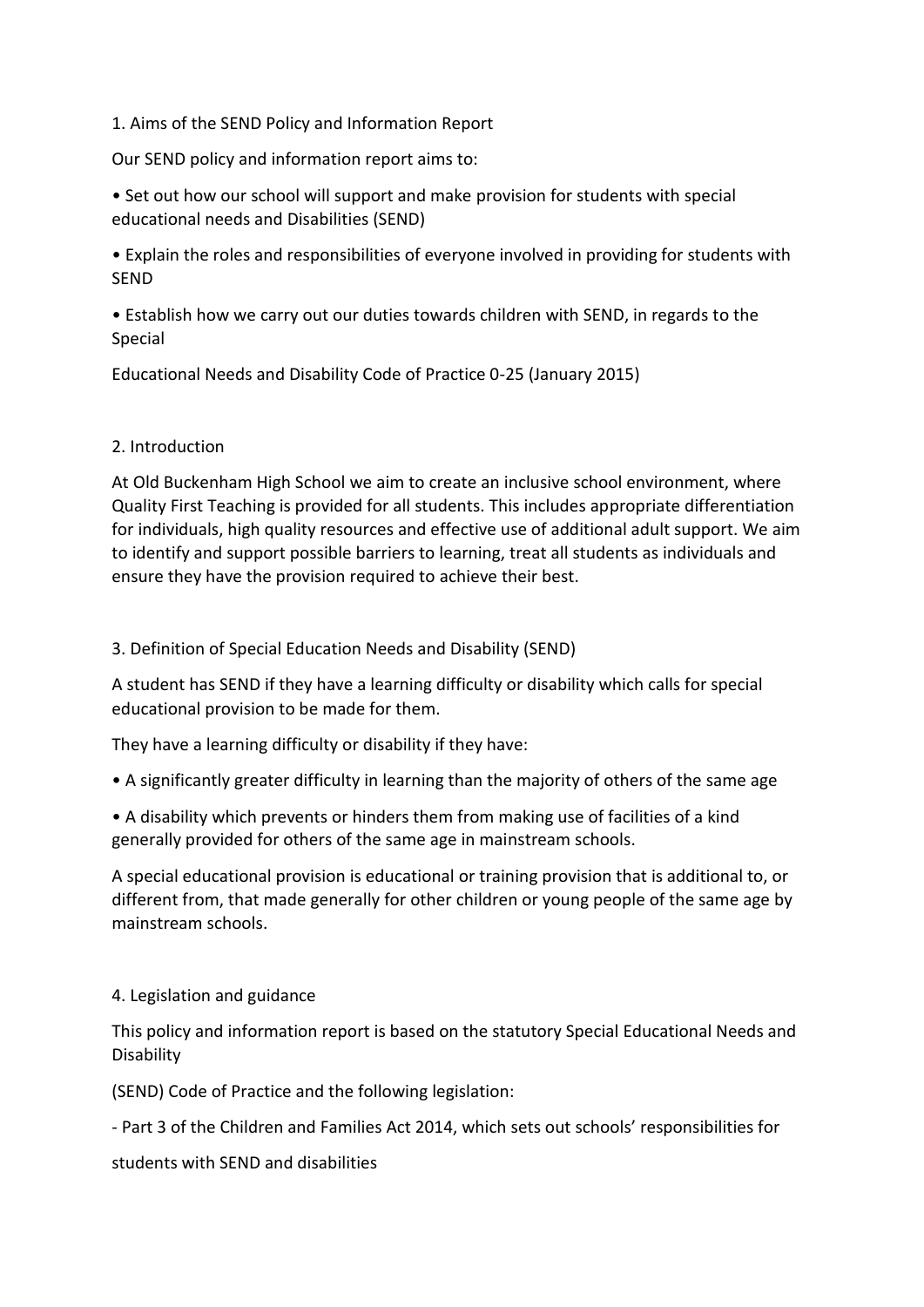1. Aims of the SEND Policy and Information Report

Our SEND policy and information report aims to:

• Set out how our school will support and make provision for students with special educational needs and Disabilities (SEND)

• Explain the roles and responsibilities of everyone involved in providing for students with SEND

• Establish how we carry out our duties towards children with SEND, in regards to the Special

Educational Needs and Disability Code of Practice 0-25 (January 2015)

## 2. Introduction

At Old Buckenham High School we aim to create an inclusive school environment, where Quality First Teaching is provided for all students. This includes appropriate differentiation for individuals, high quality resources and effective use of additional adult support. We aim to identify and support possible barriers to learning, treat all students as individuals and ensure they have the provision required to achieve their best.

3. Definition of Special Education Needs and Disability (SEND)

A student has SEND if they have a learning difficulty or disability which calls for special educational provision to be made for them.

They have a learning difficulty or disability if they have:

• A significantly greater difficulty in learning than the majority of others of the same age

• A disability which prevents or hinders them from making use of facilities of a kind generally provided for others of the same age in mainstream schools.

A special educational provision is educational or training provision that is additional to, or different from, that made generally for other children or young people of the same age by mainstream schools.

## 4. Legislation and guidance

This policy and information report is based on the statutory Special Educational Needs and Disability

(SEND) Code of Practice and the following legislation:

- Part 3 of the Children and Families Act 2014, which sets out schools' responsibilities for

students with SEND and disabilities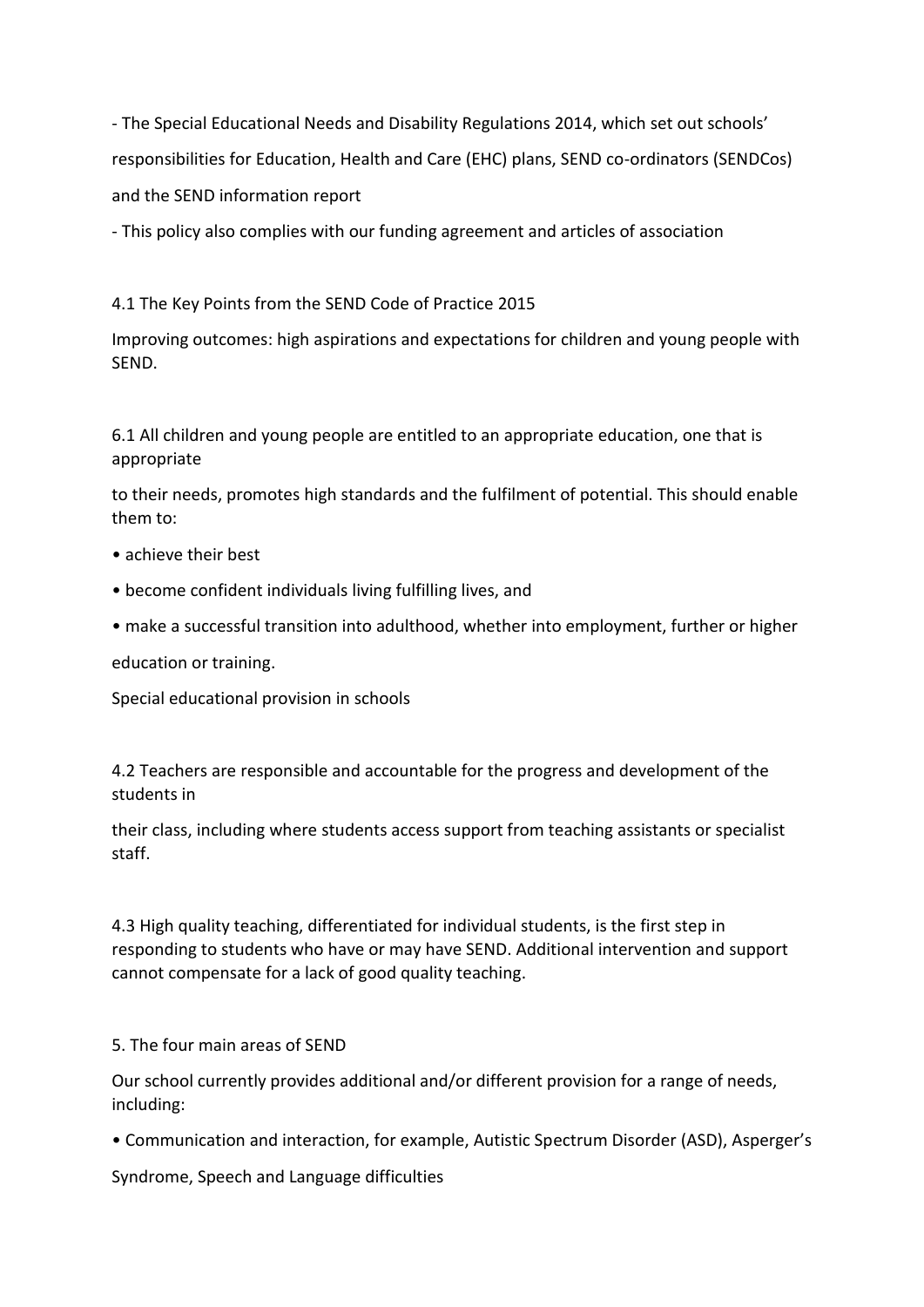- The Special Educational Needs and Disability Regulations 2014, which set out schools' responsibilities for Education, Health and Care (EHC) plans, SEND co-ordinators (SENDCos) and the SEND information report

- This policy also complies with our funding agreement and articles of association

## 4.1 The Key Points from the SEND Code of Practice 2015

Improving outcomes: high aspirations and expectations for children and young people with SEND.

6.1 All children and young people are entitled to an appropriate education, one that is appropriate

to their needs, promotes high standards and the fulfilment of potential. This should enable them to:

- achieve their best
- become confident individuals living fulfilling lives, and
- make a successful transition into adulthood, whether into employment, further or higher

education or training.

Special educational provision in schools

4.2 Teachers are responsible and accountable for the progress and development of the students in

their class, including where students access support from teaching assistants or specialist staff.

4.3 High quality teaching, differentiated for individual students, is the first step in responding to students who have or may have SEND. Additional intervention and support cannot compensate for a lack of good quality teaching.

5. The four main areas of SEND

Our school currently provides additional and/or different provision for a range of needs, including:

• Communication and interaction, for example, Autistic Spectrum Disorder (ASD), Asperger's

Syndrome, Speech and Language difficulties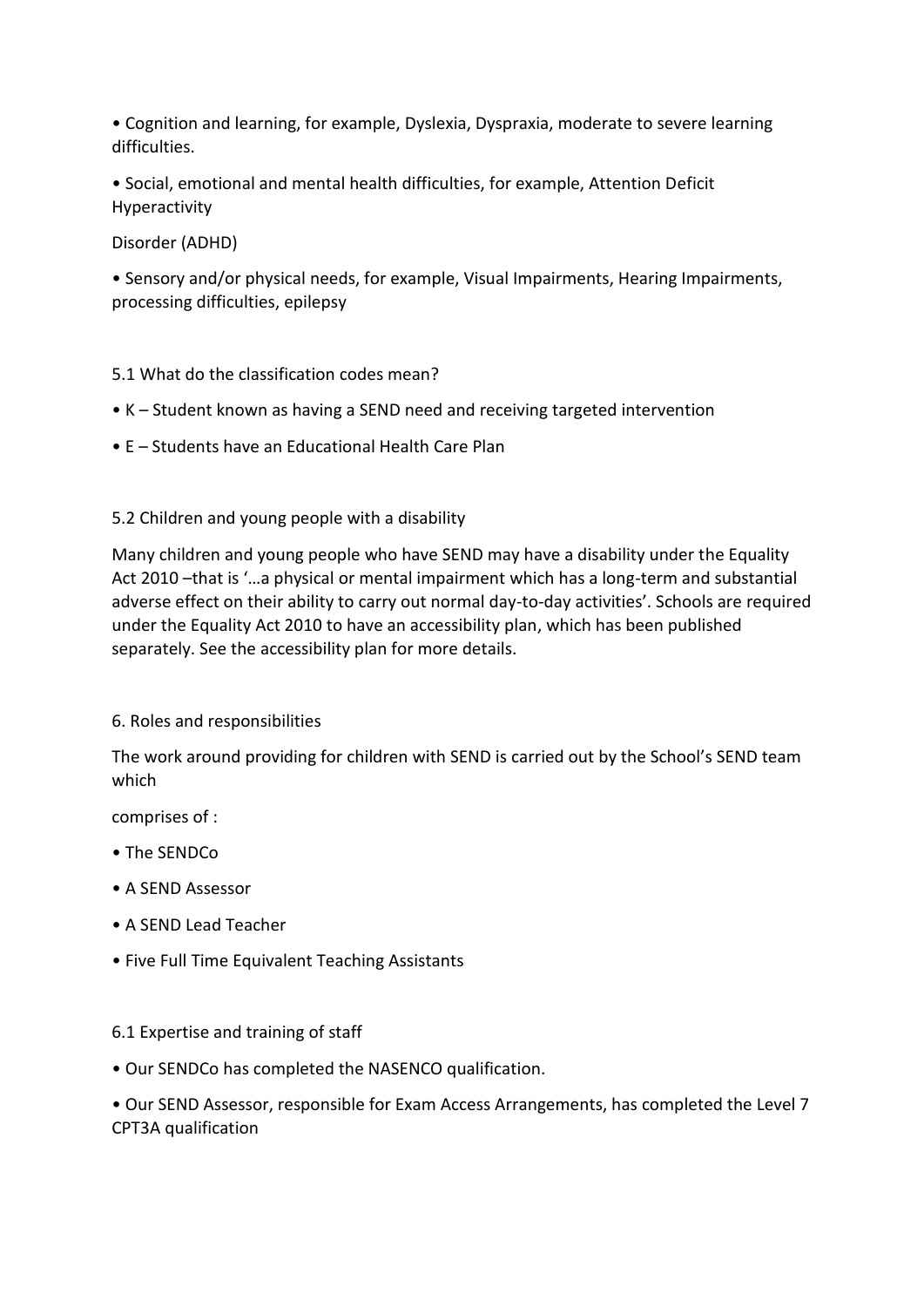• Cognition and learning, for example, Dyslexia, Dyspraxia, moderate to severe learning difficulties.

• Social, emotional and mental health difficulties, for example, Attention Deficit Hyperactivity

Disorder (ADHD)

• Sensory and/or physical needs, for example, Visual Impairments, Hearing Impairments, processing difficulties, epilepsy

- 5.1 What do the classification codes mean?
- K Student known as having a SEND need and receiving targeted intervention
- E Students have an Educational Health Care Plan

5.2 Children and young people with a disability

Many children and young people who have SEND may have a disability under the Equality Act 2010 –that is '…a physical or mental impairment which has a long-term and substantial adverse effect on their ability to carry out normal day-to-day activities'. Schools are required under the Equality Act 2010 to have an accessibility plan, which has been published separately. See the accessibility plan for more details.

## 6. Roles and responsibilities

The work around providing for children with SEND is carried out by the School's SEND team which

comprises of :

- The SENDCo
- A SEND Assessor
- A SEND Lead Teacher
- Five Full Time Equivalent Teaching Assistants

### 6.1 Expertise and training of staff

• Our SENDCo has completed the NASENCO qualification.

• Our SEND Assessor, responsible for Exam Access Arrangements, has completed the Level 7 CPT3A qualification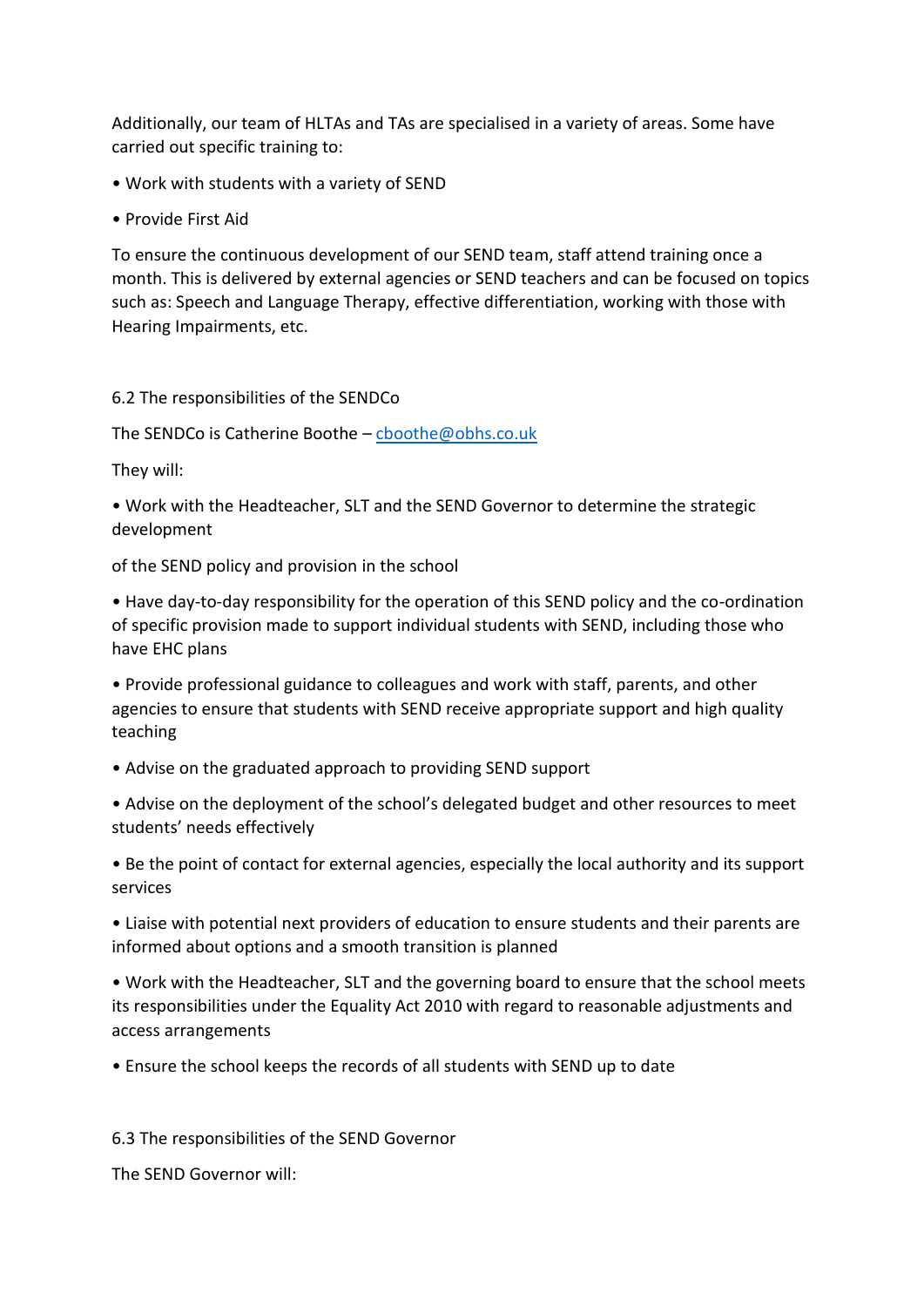Additionally, our team of HLTAs and TAs are specialised in a variety of areas. Some have carried out specific training to:

- Work with students with a variety of SEND
- Provide First Aid

To ensure the continuous development of our SEND team, staff attend training once a month. This is delivered by external agencies or SEND teachers and can be focused on topics such as: Speech and Language Therapy, effective differentiation, working with those with Hearing Impairments, etc.

## 6.2 The responsibilities of the SENDCo

The SENDCo is Catherine Boothe – [cboothe@obhs.co.uk](mailto:cboothe@obhs.co.uk)

They will:

• Work with the Headteacher, SLT and the SEND Governor to determine the strategic development

of the SEND policy and provision in the school

• Have day-to-day responsibility for the operation of this SEND policy and the co-ordination of specific provision made to support individual students with SEND, including those who have EHC plans

• Provide professional guidance to colleagues and work with staff, parents, and other agencies to ensure that students with SEND receive appropriate support and high quality teaching

• Advise on the graduated approach to providing SEND support

• Advise on the deployment of the school's delegated budget and other resources to meet students' needs effectively

• Be the point of contact for external agencies, especially the local authority and its support services

• Liaise with potential next providers of education to ensure students and their parents are informed about options and a smooth transition is planned

• Work with the Headteacher, SLT and the governing board to ensure that the school meets its responsibilities under the Equality Act 2010 with regard to reasonable adjustments and access arrangements

• Ensure the school keeps the records of all students with SEND up to date

6.3 The responsibilities of the SEND Governor

The SEND Governor will: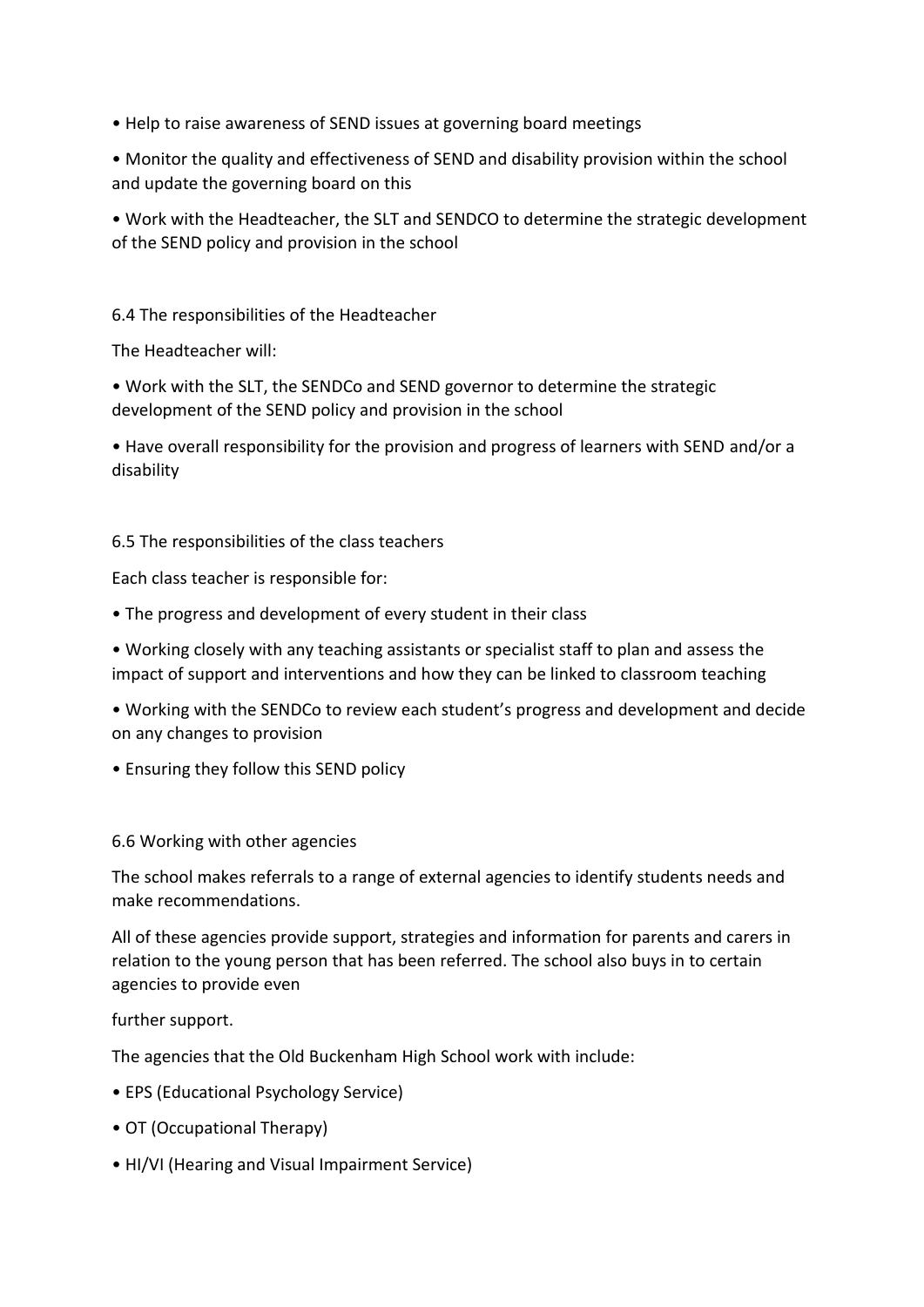- Help to raise awareness of SEND issues at governing board meetings
- Monitor the quality and effectiveness of SEND and disability provision within the school and update the governing board on this
- Work with the Headteacher, the SLT and SENDCO to determine the strategic development of the SEND policy and provision in the school

## 6.4 The responsibilities of the Headteacher

The Headteacher will:

• Work with the SLT, the SENDCo and SEND governor to determine the strategic development of the SEND policy and provision in the school

• Have overall responsibility for the provision and progress of learners with SEND and/or a disability

### 6.5 The responsibilities of the class teachers

Each class teacher is responsible for:

- The progress and development of every student in their class
- Working closely with any teaching assistants or specialist staff to plan and assess the impact of support and interventions and how they can be linked to classroom teaching
- Working with the SENDCo to review each student's progress and development and decide on any changes to provision
- Ensuring they follow this SEND policy

### 6.6 Working with other agencies

The school makes referrals to a range of external agencies to identify students needs and make recommendations.

All of these agencies provide support, strategies and information for parents and carers in relation to the young person that has been referred. The school also buys in to certain agencies to provide even

further support.

The agencies that the Old Buckenham High School work with include:

- EPS (Educational Psychology Service)
- OT (Occupational Therapy)
- HI/VI (Hearing and Visual Impairment Service)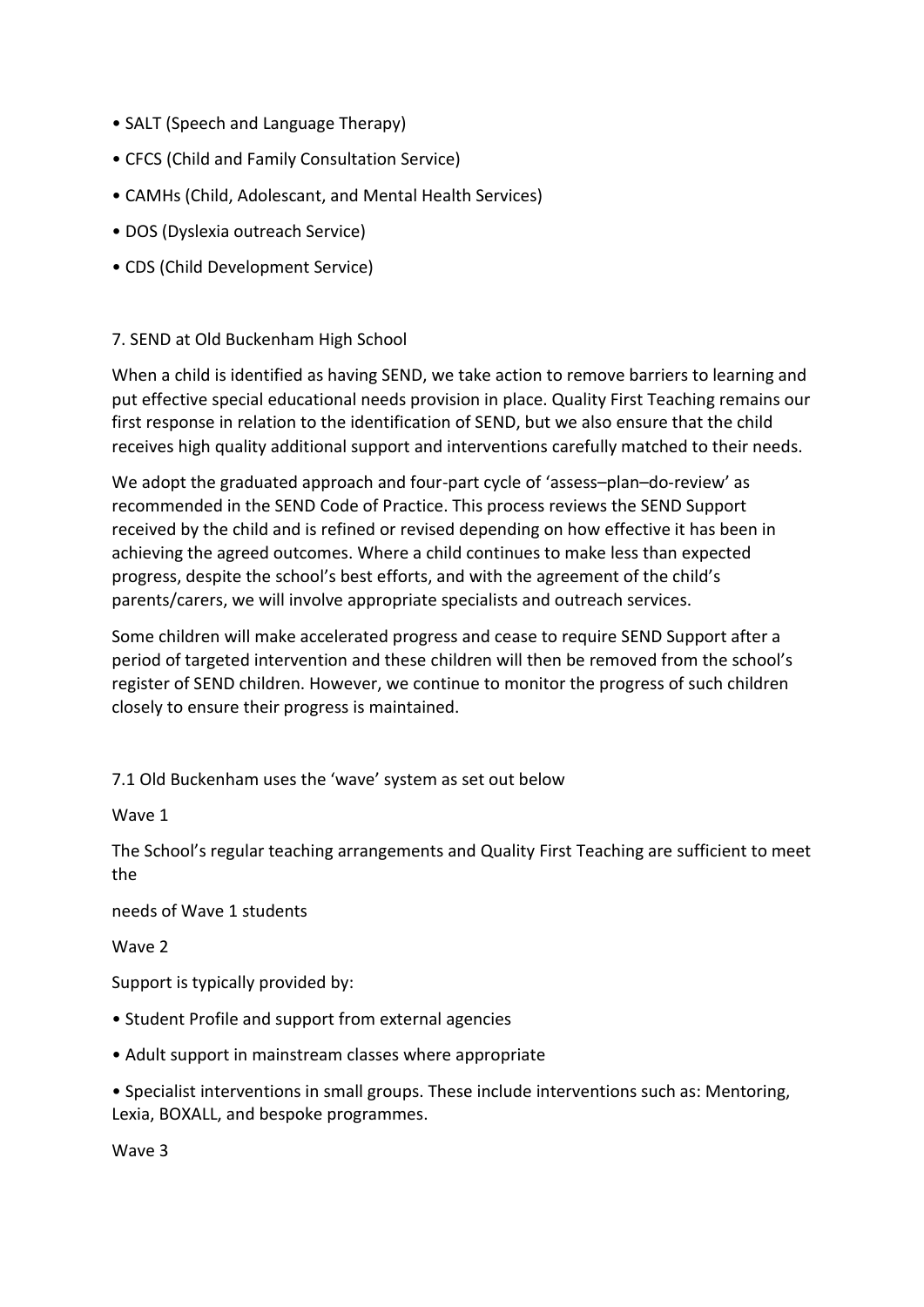- SALT (Speech and Language Therapy)
- CFCS (Child and Family Consultation Service)
- CAMHs (Child, Adolescant, and Mental Health Services)
- DOS (Dyslexia outreach Service)
- CDS (Child Development Service)

## 7. SEND at Old Buckenham High School

When a child is identified as having SEND, we take action to remove barriers to learning and put effective special educational needs provision in place. Quality First Teaching remains our first response in relation to the identification of SEND, but we also ensure that the child receives high quality additional support and interventions carefully matched to their needs.

We adopt the graduated approach and four-part cycle of 'assess–plan–do-review' as recommended in the SEND Code of Practice. This process reviews the SEND Support received by the child and is refined or revised depending on how effective it has been in achieving the agreed outcomes. Where a child continues to make less than expected progress, despite the school's best efforts, and with the agreement of the child's parents/carers, we will involve appropriate specialists and outreach services.

Some children will make accelerated progress and cease to require SEND Support after a period of targeted intervention and these children will then be removed from the school's register of SEND children. However, we continue to monitor the progress of such children closely to ensure their progress is maintained.

7.1 Old Buckenham uses the 'wave' system as set out below

Wave 1

The School's regular teaching arrangements and Quality First Teaching are sufficient to meet the

needs of Wave 1 students

Wave 2

Support is typically provided by:

- Student Profile and support from external agencies
- Adult support in mainstream classes where appropriate
- Specialist interventions in small groups. These include interventions such as: Mentoring, Lexia, BOXALL, and bespoke programmes.

Wave 3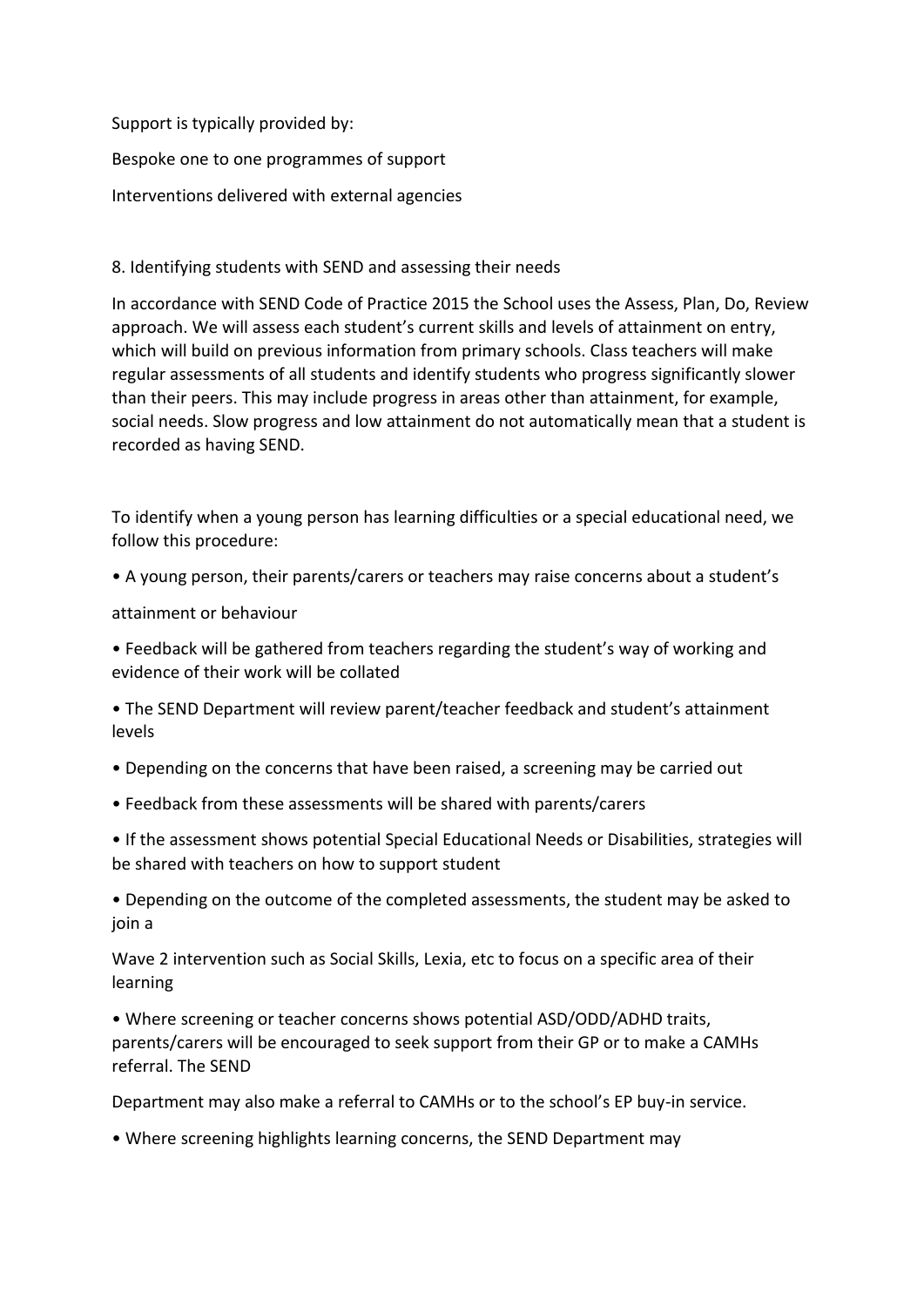Support is typically provided by:

Bespoke one to one programmes of support

Interventions delivered with external agencies

## 8. Identifying students with SEND and assessing their needs

In accordance with SEND Code of Practice 2015 the School uses the Assess, Plan, Do, Review approach. We will assess each student's current skills and levels of attainment on entry, which will build on previous information from primary schools. Class teachers will make regular assessments of all students and identify students who progress significantly slower than their peers. This may include progress in areas other than attainment, for example, social needs. Slow progress and low attainment do not automatically mean that a student is recorded as having SEND.

To identify when a young person has learning difficulties or a special educational need, we follow this procedure:

• A young person, their parents/carers or teachers may raise concerns about a student's

attainment or behaviour

• Feedback will be gathered from teachers regarding the student's way of working and evidence of their work will be collated

• The SEND Department will review parent/teacher feedback and student's attainment levels

• Depending on the concerns that have been raised, a screening may be carried out

• Feedback from these assessments will be shared with parents/carers

• If the assessment shows potential Special Educational Needs or Disabilities, strategies will be shared with teachers on how to support student

• Depending on the outcome of the completed assessments, the student may be asked to join a

Wave 2 intervention such as Social Skills, Lexia, etc to focus on a specific area of their learning

• Where screening or teacher concerns shows potential ASD/ODD/ADHD traits, parents/carers will be encouraged to seek support from their GP or to make a CAMHs referral. The SEND

Department may also make a referral to CAMHs or to the school's EP buy-in service.

• Where screening highlights learning concerns, the SEND Department may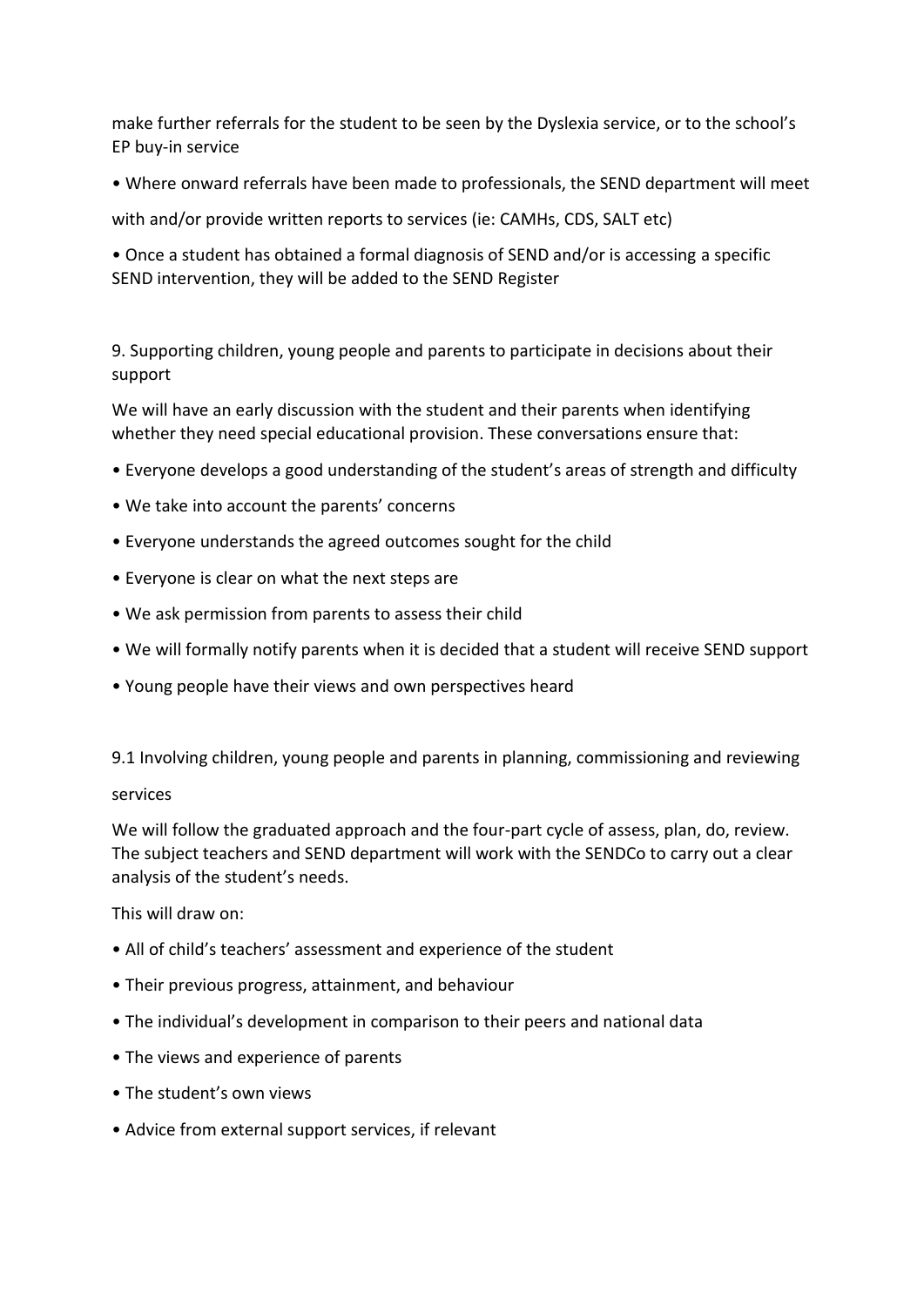make further referrals for the student to be seen by the Dyslexia service, or to the school's EP buy-in service

• Where onward referrals have been made to professionals, the SEND department will meet

with and/or provide written reports to services (ie: CAMHs, CDS, SALT etc)

• Once a student has obtained a formal diagnosis of SEND and/or is accessing a specific SEND intervention, they will be added to the SEND Register

9. Supporting children, young people and parents to participate in decisions about their support

We will have an early discussion with the student and their parents when identifying whether they need special educational provision. These conversations ensure that:

- Everyone develops a good understanding of the student's areas of strength and difficulty
- We take into account the parents' concerns
- Everyone understands the agreed outcomes sought for the child
- Everyone is clear on what the next steps are
- We ask permission from parents to assess their child
- We will formally notify parents when it is decided that a student will receive SEND support
- Young people have their views and own perspectives heard

9.1 Involving children, young people and parents in planning, commissioning and reviewing

### services

We will follow the graduated approach and the four-part cycle of assess, plan, do, review. The subject teachers and SEND department will work with the SENDCo to carry out a clear analysis of the student's needs.

This will draw on:

- All of child's teachers' assessment and experience of the student
- Their previous progress, attainment, and behaviour
- The individual's development in comparison to their peers and national data
- The views and experience of parents
- The student's own views
- Advice from external support services, if relevant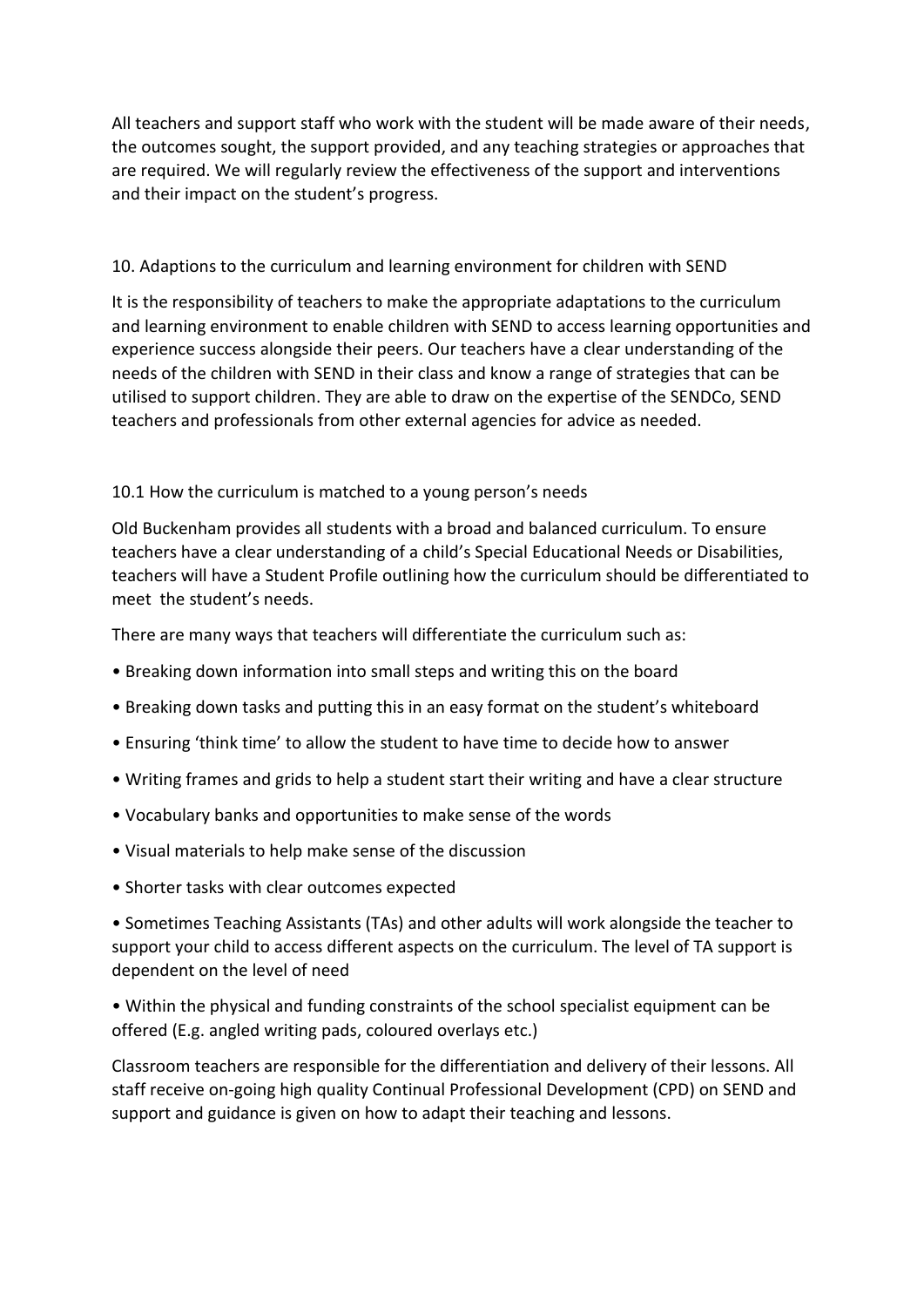All teachers and support staff who work with the student will be made aware of their needs, the outcomes sought, the support provided, and any teaching strategies or approaches that are required. We will regularly review the effectiveness of the support and interventions and their impact on the student's progress.

## 10. Adaptions to the curriculum and learning environment for children with SEND

It is the responsibility of teachers to make the appropriate adaptations to the curriculum and learning environment to enable children with SEND to access learning opportunities and experience success alongside their peers. Our teachers have a clear understanding of the needs of the children with SEND in their class and know a range of strategies that can be utilised to support children. They are able to draw on the expertise of the SENDCo, SEND teachers and professionals from other external agencies for advice as needed.

## 10.1 How the curriculum is matched to a young person's needs

Old Buckenham provides all students with a broad and balanced curriculum. To ensure teachers have a clear understanding of a child's Special Educational Needs or Disabilities, teachers will have a Student Profile outlining how the curriculum should be differentiated to meet the student's needs.

There are many ways that teachers will differentiate the curriculum such as:

- Breaking down information into small steps and writing this on the board
- Breaking down tasks and putting this in an easy format on the student's whiteboard
- Ensuring 'think time' to allow the student to have time to decide how to answer
- Writing frames and grids to help a student start their writing and have a clear structure
- Vocabulary banks and opportunities to make sense of the words
- Visual materials to help make sense of the discussion
- Shorter tasks with clear outcomes expected

• Sometimes Teaching Assistants (TAs) and other adults will work alongside the teacher to support your child to access different aspects on the curriculum. The level of TA support is dependent on the level of need

• Within the physical and funding constraints of the school specialist equipment can be offered (E.g. angled writing pads, coloured overlays etc.)

Classroom teachers are responsible for the differentiation and delivery of their lessons. All staff receive on-going high quality Continual Professional Development (CPD) on SEND and support and guidance is given on how to adapt their teaching and lessons.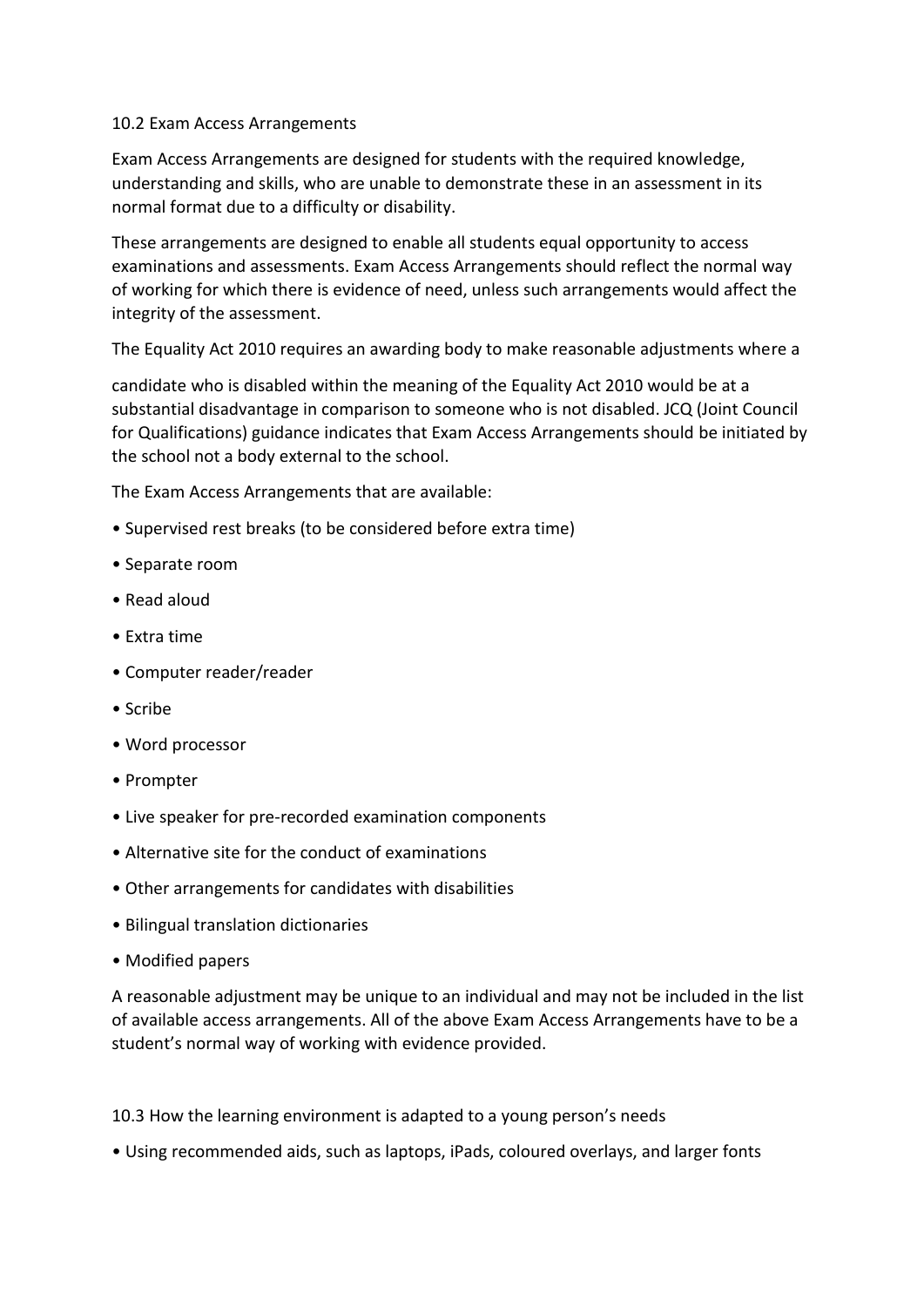## 10.2 Exam Access Arrangements

Exam Access Arrangements are designed for students with the required knowledge, understanding and skills, who are unable to demonstrate these in an assessment in its normal format due to a difficulty or disability.

These arrangements are designed to enable all students equal opportunity to access examinations and assessments. Exam Access Arrangements should reflect the normal way of working for which there is evidence of need, unless such arrangements would affect the integrity of the assessment.

The Equality Act 2010 requires an awarding body to make reasonable adjustments where a

candidate who is disabled within the meaning of the Equality Act 2010 would be at a substantial disadvantage in comparison to someone who is not disabled. JCQ (Joint Council for Qualifications) guidance indicates that Exam Access Arrangements should be initiated by the school not a body external to the school.

The Exam Access Arrangements that are available:

- Supervised rest breaks (to be considered before extra time)
- Separate room
- Read aloud
- Extra time
- Computer reader/reader
- Scribe
- Word processor
- Prompter
- Live speaker for pre-recorded examination components
- Alternative site for the conduct of examinations
- Other arrangements for candidates with disabilities
- Bilingual translation dictionaries
- Modified papers

A reasonable adjustment may be unique to an individual and may not be included in the list of available access arrangements. All of the above Exam Access Arrangements have to be a student's normal way of working with evidence provided.

10.3 How the learning environment is adapted to a young person's needs

• Using recommended aids, such as laptops, iPads, coloured overlays, and larger fonts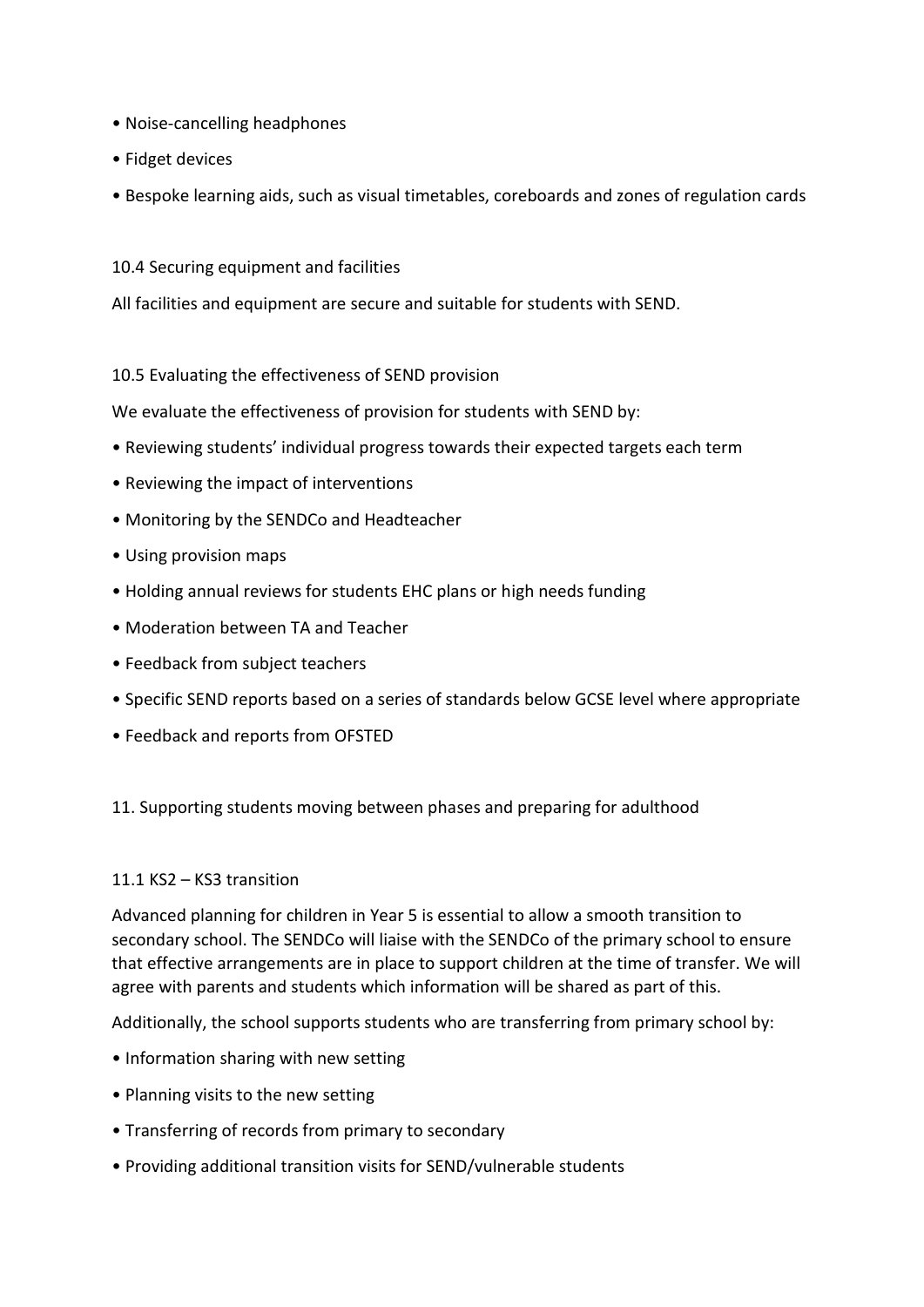- Noise-cancelling headphones
- Fidget devices
- Bespoke learning aids, such as visual timetables, coreboards and zones of regulation cards
- 10.4 Securing equipment and facilities

All facilities and equipment are secure and suitable for students with SEND.

10.5 Evaluating the effectiveness of SEND provision

We evaluate the effectiveness of provision for students with SEND by:

- Reviewing students' individual progress towards their expected targets each term
- Reviewing the impact of interventions
- Monitoring by the SENDCo and Headteacher
- Using provision maps
- Holding annual reviews for students EHC plans or high needs funding
- Moderation between TA and Teacher
- Feedback from subject teachers
- Specific SEND reports based on a series of standards below GCSE level where appropriate
- Feedback and reports from OFSTED

### 11. Supporting students moving between phases and preparing for adulthood

### 11.1 KS2 – KS3 transition

Advanced planning for children in Year 5 is essential to allow a smooth transition to secondary school. The SENDCo will liaise with the SENDCo of the primary school to ensure that effective arrangements are in place to support children at the time of transfer. We will agree with parents and students which information will be shared as part of this.

Additionally, the school supports students who are transferring from primary school by:

- Information sharing with new setting
- Planning visits to the new setting
- Transferring of records from primary to secondary
- Providing additional transition visits for SEND/vulnerable students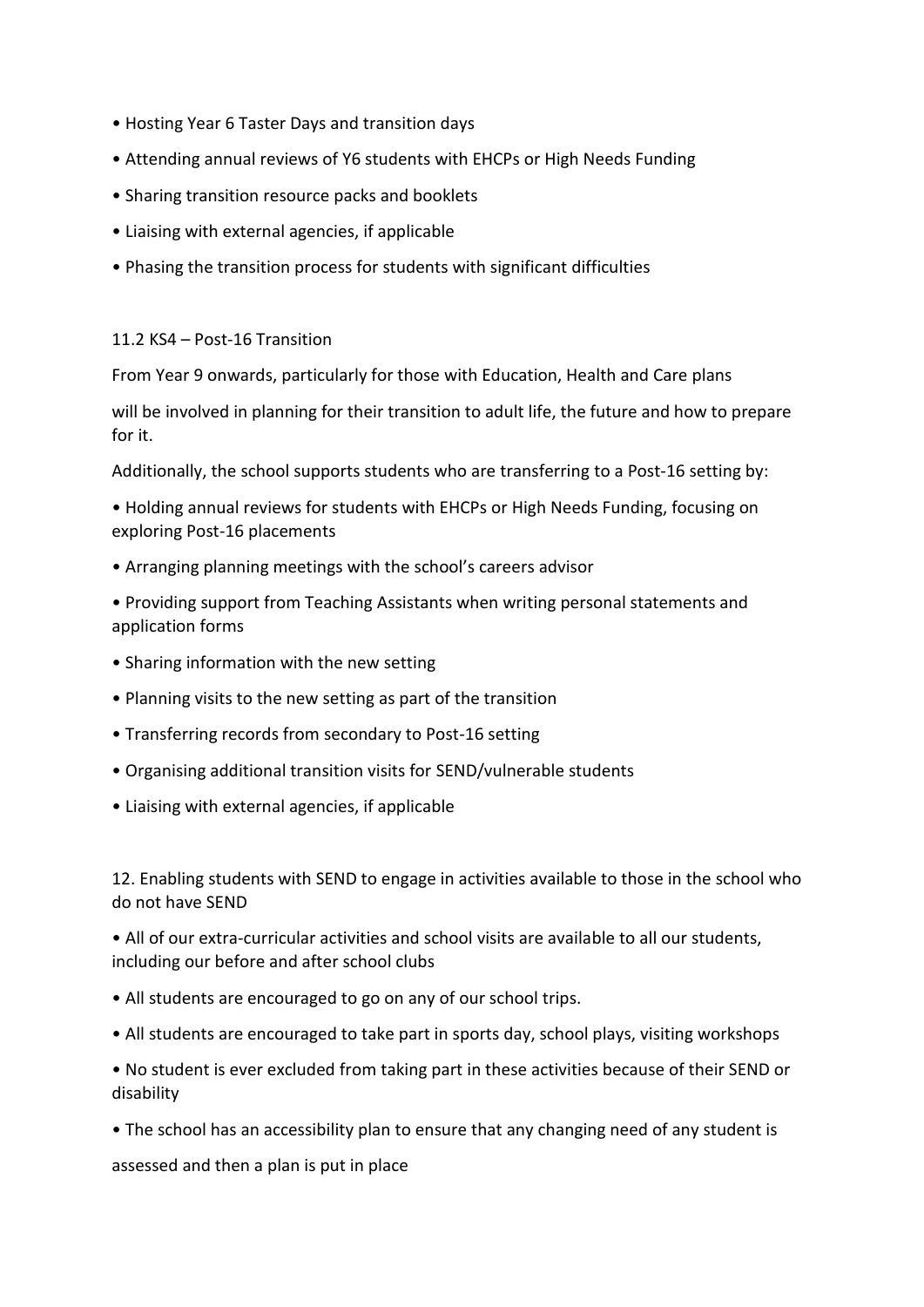- Hosting Year 6 Taster Days and transition days
- Attending annual reviews of Y6 students with EHCPs or High Needs Funding
- Sharing transition resource packs and booklets
- Liaising with external agencies, if applicable
- Phasing the transition process for students with significant difficulties

### 11.2 KS4 – Post-16 Transition

From Year 9 onwards, particularly for those with Education, Health and Care plans

will be involved in planning for their transition to adult life, the future and how to prepare for it.

Additionally, the school supports students who are transferring to a Post-16 setting by:

• Holding annual reviews for students with EHCPs or High Needs Funding, focusing on exploring Post-16 placements

- Arranging planning meetings with the school's careers advisor
- Providing support from Teaching Assistants when writing personal statements and application forms
- Sharing information with the new setting
- Planning visits to the new setting as part of the transition
- Transferring records from secondary to Post-16 setting
- Organising additional transition visits for SEND/vulnerable students
- Liaising with external agencies, if applicable

12. Enabling students with SEND to engage in activities available to those in the school who do not have SEND

• All of our extra-curricular activities and school visits are available to all our students, including our before and after school clubs

- All students are encouraged to go on any of our school trips.
- All students are encouraged to take part in sports day, school plays, visiting workshops

• No student is ever excluded from taking part in these activities because of their SEND or disability

• The school has an accessibility plan to ensure that any changing need of any student is

assessed and then a plan is put in place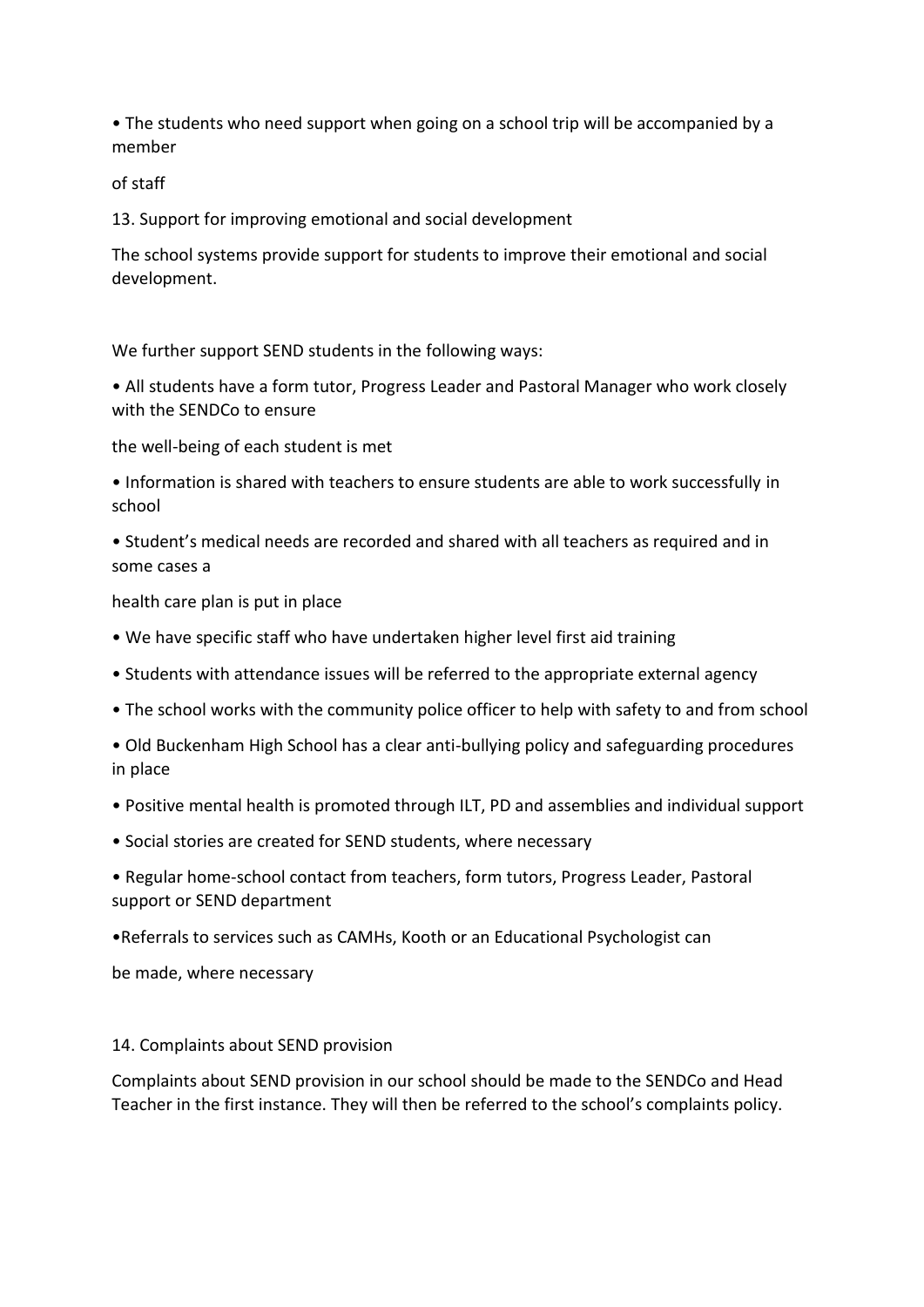• The students who need support when going on a school trip will be accompanied by a member

of staff

13. Support for improving emotional and social development

The school systems provide support for students to improve their emotional and social development.

We further support SEND students in the following ways:

• All students have a form tutor, Progress Leader and Pastoral Manager who work closely with the SENDCo to ensure

the well-being of each student is met

• Information is shared with teachers to ensure students are able to work successfully in school

• Student's medical needs are recorded and shared with all teachers as required and in some cases a

health care plan is put in place

- We have specific staff who have undertaken higher level first aid training
- Students with attendance issues will be referred to the appropriate external agency
- The school works with the community police officer to help with safety to and from school

• Old Buckenham High School has a clear anti-bullying policy and safeguarding procedures in place

- Positive mental health is promoted through ILT, PD and assemblies and individual support
- Social stories are created for SEND students, where necessary
- Regular home-school contact from teachers, form tutors, Progress Leader, Pastoral support or SEND department

•Referrals to services such as CAMHs, Kooth or an Educational Psychologist can

be made, where necessary

### 14. Complaints about SEND provision

Complaints about SEND provision in our school should be made to the SENDCo and Head Teacher in the first instance. They will then be referred to the school's complaints policy.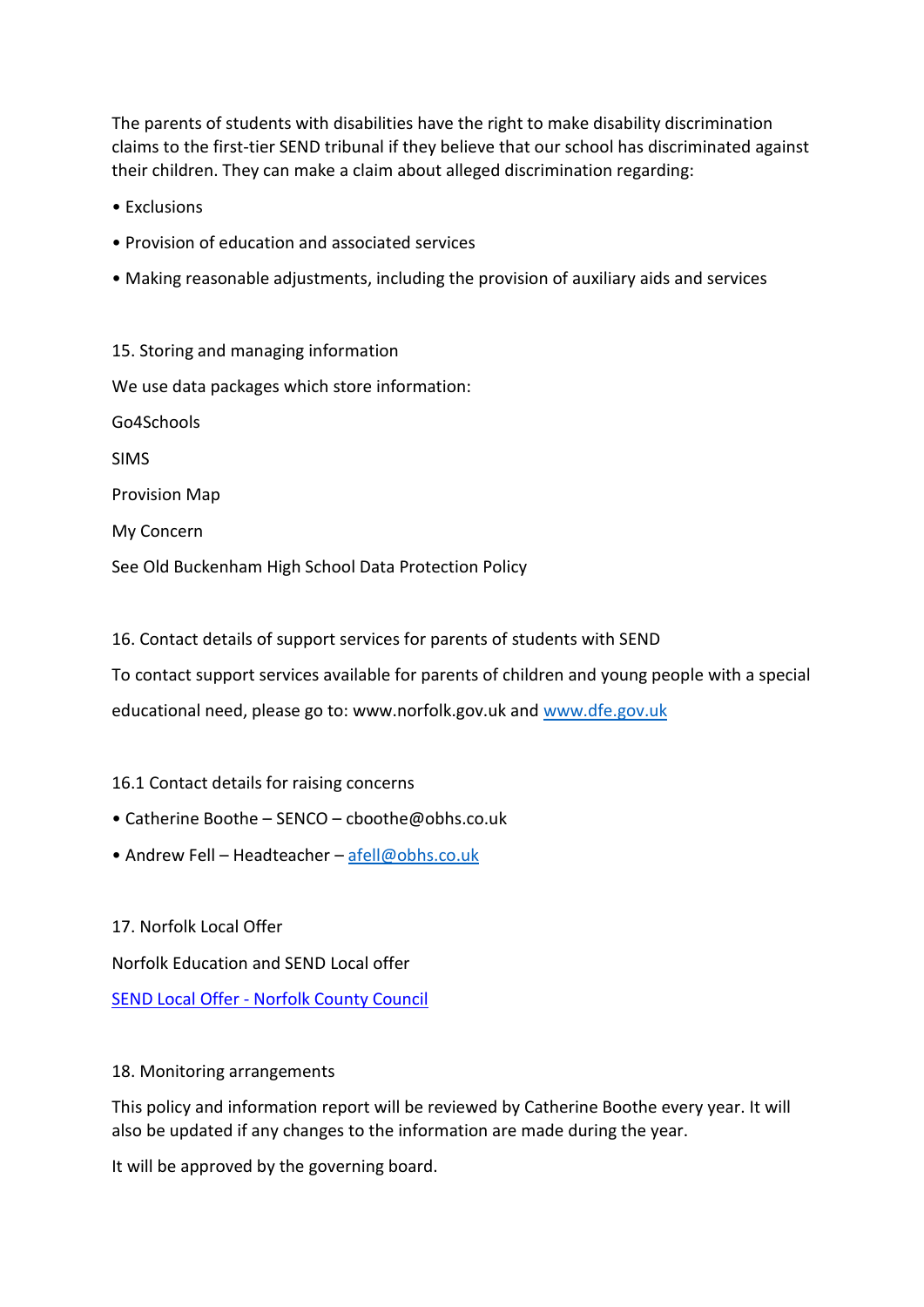The parents of students with disabilities have the right to make disability discrimination claims to the first-tier SEND tribunal if they believe that our school has discriminated against their children. They can make a claim about alleged discrimination regarding:

• Exclusions

- Provision of education and associated services
- Making reasonable adjustments, including the provision of auxiliary aids and services

15. Storing and managing information We use data packages which store information: Go4Schools SIMS Provision Map My Concern

See Old Buckenham High School Data Protection Policy

16. Contact details of support services for parents of students with SEND

To contact support services available for parents of children and young people with a special

educational need, please go to: www.norfolk.gov.uk and [www.dfe.gov.uk](http://www.dfe.gov.uk/)

- 16.1 Contact details for raising concerns
- Catherine Boothe SENCO cboothe@obhs.co.uk
- Andrew Fell Headteacher [afell@obhs.co.uk](mailto:afell@obhs.co.uk)

17. Norfolk Local Offer

Norfolk Education and SEND Local offer

SEND Local Offer - [Norfolk County Council](https://www.norfolk.gov.uk/children-and-families/send-local-offer)

### 18. Monitoring arrangements

This policy and information report will be reviewed by Catherine Boothe every year. It will also be updated if any changes to the information are made during the year.

It will be approved by the governing board.